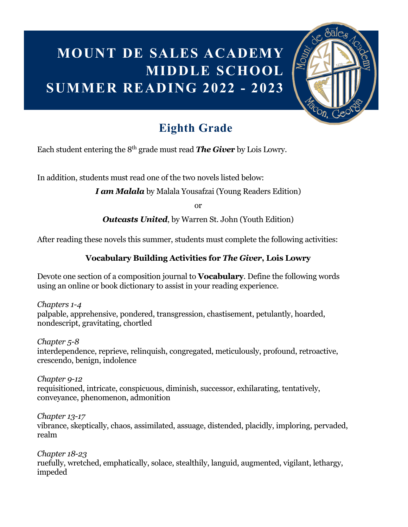### **MOUNT DE SALES ACADEMY MIDDLE SCHOOL SUMMER READING 2022 - 2023**



### **Eighth Grade**

Each student entering the 8th grade must read *The Give***r** by Lois Lowry.

In addition, students must read one of the two novels listed below:

*I am Malala* by Malala Yousafzai (Young Readers Edition)

or

*Outcasts United*, by Warren St. John (Youth Edition)

After reading these novels this summer, students must complete the following activities:

#### **Vocabulary Building Activities for** *The Giver***, Lois Lowry**

Devote one section of a composition journal to **Vocabulary**. Define the following words using an online or book dictionary to assist in your reading experience.

*Chapters 1-4* palpable, apprehensive, pondered, transgression, chastisement, petulantly, hoarded, nondescript, gravitating, chortled

*Chapter 5-8* interdependence, reprieve, relinquish, congregated, meticulously, profound, retroactive, crescendo, benign, indolence

*Chapter 9-12* requisitioned, intricate, conspicuous, diminish, successor, exhilarating, tentatively, conveyance, phenomenon, admonition

*Chapter 13-17* vibrance, skeptically, chaos, assimilated, assuage, distended, placidly, imploring, pervaded, realm

*Chapter 18-23* ruefully, wretched, emphatically, solace, stealthily, languid, augmented, vigilant, lethargy, impeded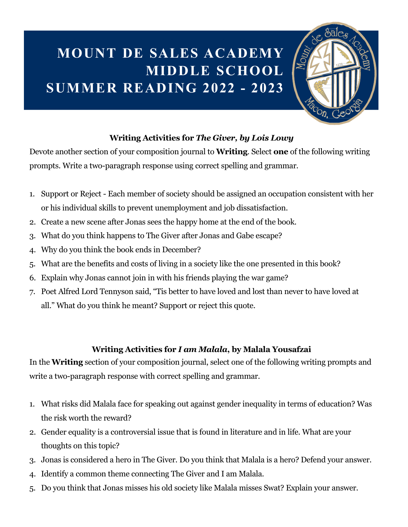# **MOUNT DE SALES ACADEMY MIDDLE SCHOOL SUMMER READING 2022 - 2023**



#### **Writing Activities for** *The Giver, by Lois Lowy*

Devote another section of your composition journal to **Writing**. Select **one** of the following writing prompts. Write a two-paragraph response using correct spelling and grammar.

- 1. Support or Reject Each member of society should be assigned an occupation consistent with her or his individual skills to prevent unemployment and job dissatisfaction.
- 2. Create a new scene after Jonas sees the happy home at the end of the book.
- 3. What do you think happens to The Giver after Jonas and Gabe escape?
- 4. Why do you think the book ends in December?
- 5. What are the benefits and costs of living in a society like the one presented in this book?
- 6. Explain why Jonas cannot join in with his friends playing the war game?
- 7. Poet Alfred Lord Tennyson said, "Tis better to have loved and lost than never to have loved at all." What do you think he meant? Support or reject this quote.

#### **Writing Activities for** *I am Malala***, by Malala Yousafzai**

In the **Writing** section of your composition journal, select one of the following writing prompts and write a two-paragraph response with correct spelling and grammar.

- 1. What risks did Malala face for speaking out against gender inequality in terms of education? Was the risk worth the reward?
- 2. Gender equality is a controversial issue that is found in literature and in life. What are your thoughts on this topic?
- 3. Jonas is considered a hero in The Giver. Do you think that Malala is a hero? Defend your answer.
- 4. Identify a common theme connecting The Giver and I am Malala.
- 5. Do you think that Jonas misses his old society like Malala misses Swat? Explain your answer.